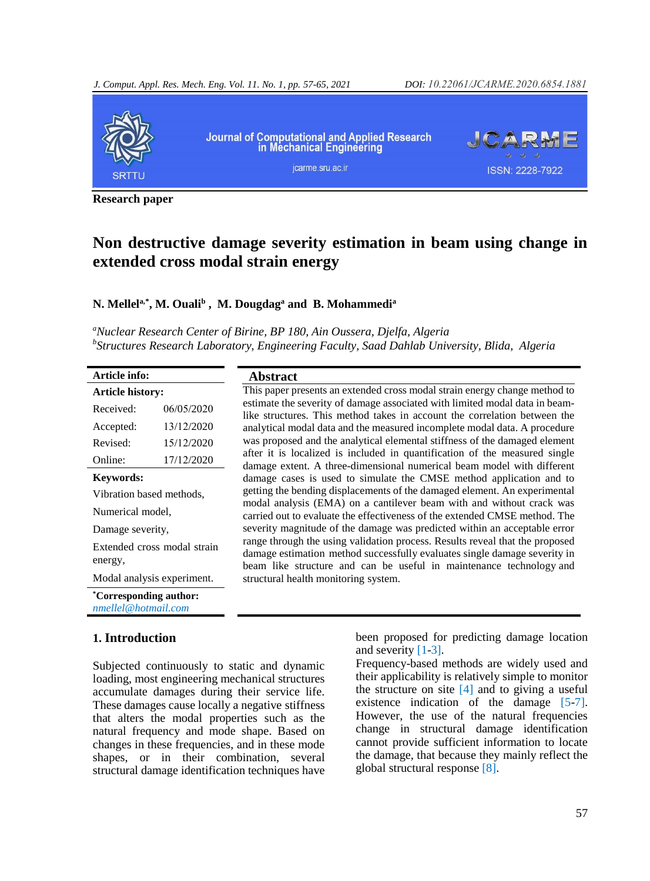

**Research paper**

## **Non destructive damage severity estimation in beam using change in extended cross modal strain energy**

## **N. Mellela,\*, M. Ouali<sup>b</sup> , M. Dougdag<sup>a</sup> and B. Mohammedi<sup>a</sup>**

*<sup>a</sup>Nuclear Research Center of Birine, BP 180, Ain Oussera, Djelfa, Algeria b Structures Research Laboratory, Engineering Faculty, Saad Dahlab University, Blida, Algeria* 

| Article info:                                 |            |  |  |  |
|-----------------------------------------------|------------|--|--|--|
| Article history:                              |            |  |  |  |
| Received:                                     | 06/05/2020 |  |  |  |
| Accepted:                                     | 13/12/2020 |  |  |  |
| Revised:                                      | 15/12/2020 |  |  |  |
| Online:                                       | 17/12/2020 |  |  |  |
| Keywords:                                     |            |  |  |  |
| Vibration based methods,                      |            |  |  |  |
| Numerical model,                              |            |  |  |  |
| Damage severity,                              |            |  |  |  |
| Extended cross modal strain<br>energy,        |            |  |  |  |
| Modal analysis experiment.                    |            |  |  |  |
| *Corresponding author:<br>nmellel@hotmail.com |            |  |  |  |

## **1. Introduction**

Subjected continuously to static and dynamic loading, most engineering mechanical structures accumulate damages during their service life. These damages cause locally a negative stiffness that alters the modal properties such as the natural frequency and mode shape. Based on changes in these frequencies, and in these mode shapes, or in their combination, several structural damage identification techniques have

**Abstract** This paper presents an extended cross modal strain energy change method to estimate the severity of damage associated with limited modal data in beamlike structures. This method takes in account the correlation between the analytical modal data and the measured incomplete modal data. A procedure was proposed and the analytical elemental stiffness of the damaged element after it is localized is included in quantification of the measured single damage extent. A three-dimensional numerical beam model with different damage cases is used to simulate the CMSE method application and to getting the bending displacements of the damaged element. An experimental modal analysis (EMA) on a cantilever beam with and without crack was carried out to evaluate the effectiveness of the extended CMSE method. The severity magnitude of the damage was predicted within an acceptable error range through the using validation process. Results reveal that the proposed damage estimation method successfully evaluates single damage severity in beam like structure and can be useful in maintenance technology and structural health monitoring system.

> been proposed for predicting damage location and severity [\[1-](#page-7-0)[3\].](#page-7-1)

> Frequency-based methods are widely used and their applicability is relatively simple to monitor the structure on site  $[4]$  and to giving a useful existence indication of the damage [\[5](#page-7-3)[-7\].](#page-7-4) However, the use of the natural frequencies change in structural damage identification cannot provide sufficient information to locate the damage, that because they mainly reflect the global structural response [\[8\].](#page-7-5)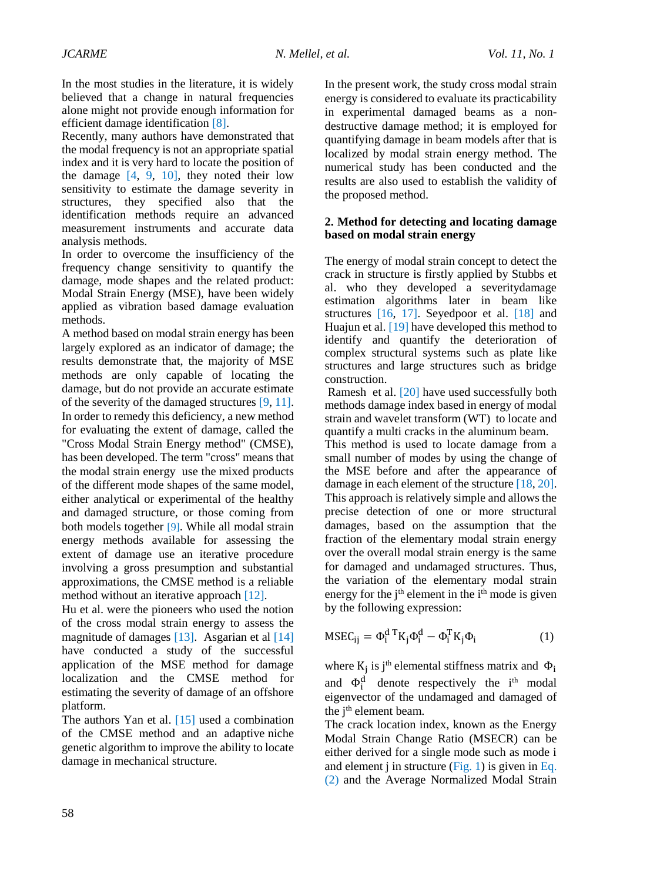In the most studies in the literature, it is widely believed that a change in natural frequencies alone might not provide enough information for efficient damage identification [\[8\].](#page-7-5)

Recently, many authors have demonstrated that the modal frequency is not an appropriate spatial index and it is very hard to locate the position of the damage  $[4, 9, 10]$  $[4, 9, 10]$  $[4, 9, 10]$  $[4, 9, 10]$ , they noted their low sensitivity to estimate the damage severity in structures, they specified also that the identification methods require an advanced measurement instruments and accurate data analysis methods.

In order to overcome the insufficiency of the frequency change sensitivity to quantify the damage, mode shapes and the related product: Modal Strain Energy (MSE), have been widely applied as vibration based damage evaluation methods.

A method based on modal strain energy has been largely explored as an indicator of damage; the results demonstrate that, the majority of MSE methods are only capable of locating the damage, but do not provide an accurate estimate of the severity of the damaged structures [\[9,](#page-7-6) [11\].](#page-7-8) In order to remedy this deficiency, a new method for evaluating the extent of damage, called the "Cross Modal Strain Energy method" (CMSE), has been developed. The term "cross" means that the modal strain energy use the mixed products of the different mode shapes of the same model, either analytical or experimental of the healthy and damaged structure, or those coming from both models together [\[9\]](#page-7-6). While all modal strain energy methods available for assessing the extent of damage use an iterative procedure involving a gross presumption and substantial approximations, the CMSE method is a reliable method without an iterative approach [\[12\].](#page-7-9)

Hu et al. were the pioneers who used the notion of the cross modal strain energy to assess the magnitude of damages  $[13]$ . Asgarian et al  $[14]$ have conducted a study of the successful application of the MSE method for damage localization and the CMSE method for estimating the severity of damage of an offshore platform.

The authors Yan et al. [\[15\]](#page-7-12) used a combination of the CMSE method and an adaptive niche genetic algorithm to improve the ability to locate damage in mechanical structure.

In the present work, the study cross modal strain energy is considered to evaluate its practicability in experimental damaged beams as a nondestructive damage method; it is employed for quantifying damage in beam models after that is localized by modal strain energy method. The numerical study has been conducted and the results are also used to establish the validity of the proposed method.

## **2. Method for detecting and locating damage based on modal strain energy**

The energy of modal strain concept to detect the crack in structure is firstly applied by Stubbs et al. who they developed a severitydamage estimation algorithms later in beam like structures [\[16,](#page-7-13) [17\].](#page-8-0) Seyedpoor et al. [\[18\]](#page-8-1) and Huajun et al. [\[19\]](#page-8-2) have developed this method to identify and quantify the deterioration of complex structural systems such as plate like structures and large structures such as bridge construction.

[Ramesh](https://www.sciencedirect.com/science/article/pii/S221478531831441X#!) et al. [\[20\]](#page-8-3) have used successfully both methods damage index based in energy of modal strain and wavelet transform (WT) to locate and quantify a multi cracks in the aluminum beam.

This method is used to locate damage from a small number of modes by using the change of the MSE before and after the appearance of damage in each element of the structure [\[18,](#page-8-1) [20\].](#page-8-3) This approach is relatively simple and allows the precise detection of one or more structural damages, based on the assumption that the fraction of the elementary modal strain energy over the overall modal strain energy is the same for damaged and undamaged structures. Thus, the variation of the elementary modal strain energy for the  $i<sup>th</sup>$  element in the  $i<sup>th</sup>$  mode is given by the following expression:

$$
MSEC_{ij} = \Phi_i^d{}^T K_j \Phi_i^d - \Phi_i^T K_j \Phi_i \tag{1}
$$

where  $K_j$  is j<sup>th</sup> elemental stiffness matrix and  $\Phi_i$ and  $\Phi_i^d$  denote respectively the i<sup>th</sup> modal eigenvector of the undamaged and damaged of the  $j<sup>th</sup>$  element beam.

The crack location index, known as the Energy Modal Strain Change Ratio (MSECR) can be either derived for a single mode such as mode i and element j in structure  $(Fig. 1)$  $(Fig. 1)$  is given in [Eq.](#page-2-1) [\(2\)](#page-2-1) and the Average Normalized Modal Strain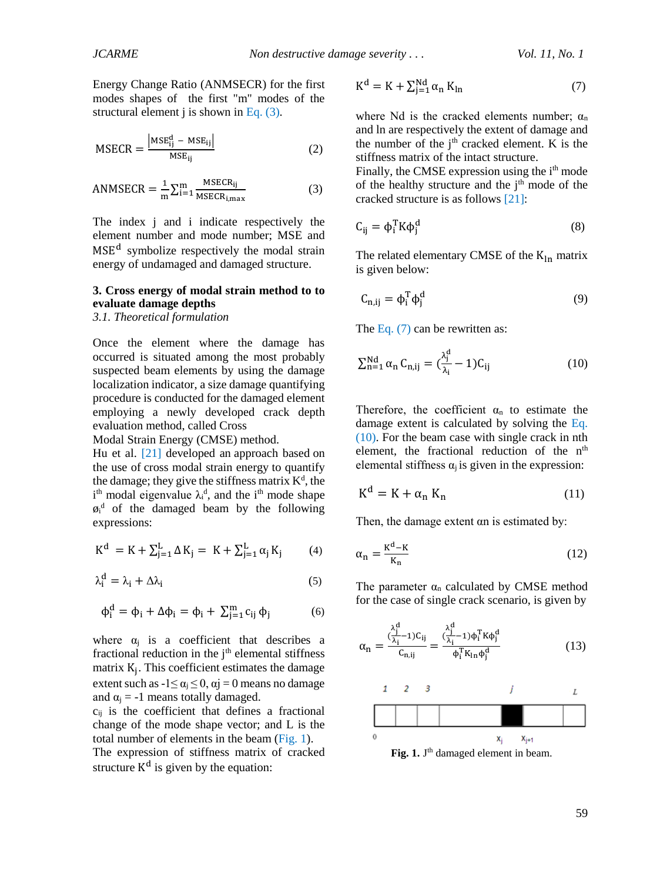Energy Change Ratio (ANMSECR) for the first modes shapes of the first "m" modes of the structural element j is shown in [Eq.](#page-2-2) (3).

<span id="page-2-1"></span>
$$
MSECR = \frac{|MSE_{ij}^{d} - MSE_{ij}|}{MSE_{ij}}
$$
 (2)

<span id="page-2-2"></span>
$$
ANNSECR = \frac{1}{m} \sum_{i=1}^{m} \frac{MSECR_{ij}}{MSECR_{i,max}}
$$
(3)

The index j and i indicate respectively the element number and mode number; MSE and MSE<sup>d</sup> symbolize respectively the modal strain energy of undamaged and damaged structure.

## **3. Cross energy of modal strain method to to evaluate damage depths**

#### *3.1. Theoretical formulation*

Once the element where the damage has occurred is situated among the most probably suspected beam elements by using the damage localization indicator, a size damage quantifying procedure is conducted for the damaged element employing a newly developed crack depth evaluation method, called Cross

Modal Strain Energy (CMSE) method.

Hu et al. [\[21\]](#page-8-4) developed an approach based on the use of cross modal strain energy to quantify the damage; they give the stiffness matrix  $K^d$ , the i<sup>th</sup> modal eigenvalue  $\lambda_i^d$ , and the i<sup>th</sup> mode shape  $\varphi$ <sup>d</sup> of the damaged beam by the following expressions:

$$
K^{d} = K + \sum_{j=1}^{L} \Delta K_{j} = K + \sum_{j=1}^{L} \alpha_{j} K_{j}
$$
 (4)

$$
\lambda_i^d = \lambda_i + \Delta \lambda_i \tag{5}
$$

$$
\varphi_i^d = \varphi_i + \Delta \varphi_i = \varphi_i + \sum_{j=1}^m c_{ij} \, \varphi_j \tag{6}
$$

where  $\alpha_i$  is a coefficient that describes a fractional reduction in the  $i<sup>th</sup>$  elemental stiffness matrix K<sup>j</sup> . This coefficient estimates the damage extent such as  $-1 \le \alpha_i \le 0$ ,  $\alpha j = 0$  means no damage and  $\alpha_i = -1$  means totally damaged.

 $c_{ii}$  is the coefficient that defines a fractional change of the mode shape vector; and L is the total number of elements in the beam  $(Fig. 1)$  $(Fig. 1)$ . The expression of stiffness matrix of cracked structure  $K<sup>d</sup>$  is given by the equation:

<span id="page-2-3"></span>
$$
K^{d} = K + \sum_{j=1}^{Nd} \alpha_{n} K_{ln}
$$
 (7)

where Nd is the cracked elements number;  $\alpha_n$ and ln are respectively the extent of damage and the number of the  $i<sup>th</sup>$  cracked element. K is the stiffness matrix of the intact structure.

Finally, the CMSE expression using the i<sup>th</sup> mode of the healthy structure and the  $i<sup>th</sup>$  mode of the cracked structure is as follows [\[21\]:](#page-8-4)

$$
C_{ij} = \phi_i^T K \phi_j^d \tag{8}
$$

The related elementary CMSE of the  $K_{ln}$  matrix is given below:

$$
C_{n,ij} = \phi_i^T \phi_j^d \tag{9}
$$

The [Eq.](#page-2-3) (7) can be rewritten as:

<span id="page-2-4"></span>
$$
\sum_{n=1}^{Nd} \alpha_n C_{n,ij} = \left(\frac{\lambda_j^d}{\lambda_i} - 1\right) C_{ij} \tag{10}
$$

Therefore, the coefficient  $\alpha_n$  to estimate the damage extent is calculated by solving the [Eq.](#page-2-4)  [\(10\).](#page-2-4) For the beam case with single crack in nth element, the fractional reduction of the n<sup>th</sup> elemental stiffness  $\alpha_i$  is given in the expression:

$$
K^{d} = K + \alpha_{n} K_{n}
$$
 (11)

Then, the damage extent αn is estimated by:

<span id="page-2-6"></span>
$$
\alpha_n = \frac{\kappa^d - \kappa}{\kappa_n} \tag{12}
$$

The parameter  $\alpha_n$  calculated by CMSE method for the case of single crack scenario, is given by

<span id="page-2-5"></span>
$$
\alpha_{n} = \frac{\binom{\lambda_{j}^{d}}{\lambda_{i} - 1} C_{ij}}{C_{n,ij}} = \frac{\binom{\lambda_{j}^{d}}{\lambda_{i} - 1} \phi_{i}^{T} K \phi_{j}^{d}}{\phi_{i}^{T} K_{ln} \phi_{j}^{d}}
$$
(13)



<span id="page-2-0"></span>Fig. 1. J<sup>th</sup> damaged element in beam.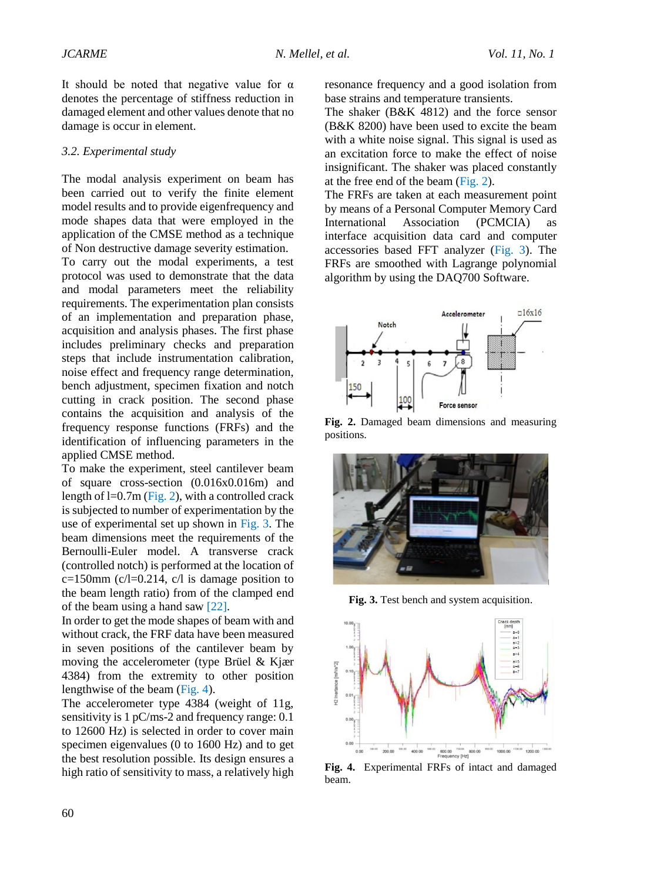It should be noted that negative value for  $\alpha$ denotes the percentage of stiffness reduction in damaged element and other values denote that no damage is occur in element.

#### *3.2. Experimental study*

The modal analysis experiment on beam has been carried out to verify the finite element model results and to provide eigenfrequency and mode shapes data that were employed in the application of the CMSE method as a technique of Non destructive damage severity estimation.

To carry out the modal experiments, a test protocol was used to demonstrate that the data and modal parameters meet the reliability requirements. The experimentation plan consists of an implementation and preparation phase, acquisition and analysis phases. The first phase includes preliminary checks and preparation steps that include instrumentation calibration, noise effect and frequency range determination, bench adjustment, specimen fixation and notch cutting in crack position. The second phase contains the acquisition and analysis of the frequency response functions (FRFs) and the identification of influencing parameters in the applied CMSE method.

To make the experiment, steel cantilever beam of square cross-section (0.016x0.016m) and length of  $l=0.7m$  [\(Fig. 2\)](#page-3-0), with a controlled crack is subjected to number of experimentation by the use of experimental set up shown in [Fig.](#page-3-1) 3. The beam dimensions meet the requirements of the Bernoulli-Euler model. A transverse crack (controlled notch) is performed at the location of  $c=150$ mm ( $c/l=0.214$ ,  $c/l$  is damage position to the beam length ratio) from of the clamped end of the beam using a hand saw [\[22\].](#page-8-5)

In order to get the mode shapes of beam with and without crack, the FRF data have been measured in seven positions of the cantilever beam by moving the accelerometer (type [Brüel & Kjær](http://www.google.dz/url?sa=t&rct=j&q=Modal+testing+parameters&source=web&cd=3&ved=0CD8QFjAC&url=http%3A%2F%2Fwww.bksv.com%2Fdoc%2Fbr0507.pdf&ei=0eNdU7nHNcSwOfrpgPgM&usg=AFQjCNEOJsQITAN2wqDQC3SHznmiJ2Ci3g) 4384) from the extremity to other position lengthwise of the beam [\(Fig. 4\)](#page-3-2).

The accelerometer type 4384 (weight of 11g, sensitivity is 1 pC/ms-2 and frequency range: 0.1 to 12600 Hz) is selected in order to cover main specimen eigenvalues (0 to 1600 Hz) and to get the best resolution possible. Its design ensures a high ratio of sensitivity to mass, a relatively high resonance frequency and a good isolation from base strains and temperature transients.

The shaker (B&K 4812) and the force sensor (B&K 8200) have been used to excite the beam with a white noise signal. This signal is used as an excitation force to make the effect of noise insignificant. The shaker was placed constantly at the free end of the beam [\(Fig. 2\)](#page-3-0).

The FRFs are taken at each measurement point by means of a Personal Computer Memory Card International Association (PCMCIA) as interface acquisition data card and computer accessories based FFT analyzer [\(Fig.](#page-3-1) 3). The FRFs are smoothed with Lagrange polynomial algorithm by using the DAQ700 Software.



<span id="page-3-0"></span>**Fig. 2.** Damaged beam dimensions and measuring positions.



**Fig. 3.** Test bench and system acquisition.

<span id="page-3-1"></span>

<span id="page-3-2"></span>**Fig. 4.** Experimental FRFs of intact and damaged beam.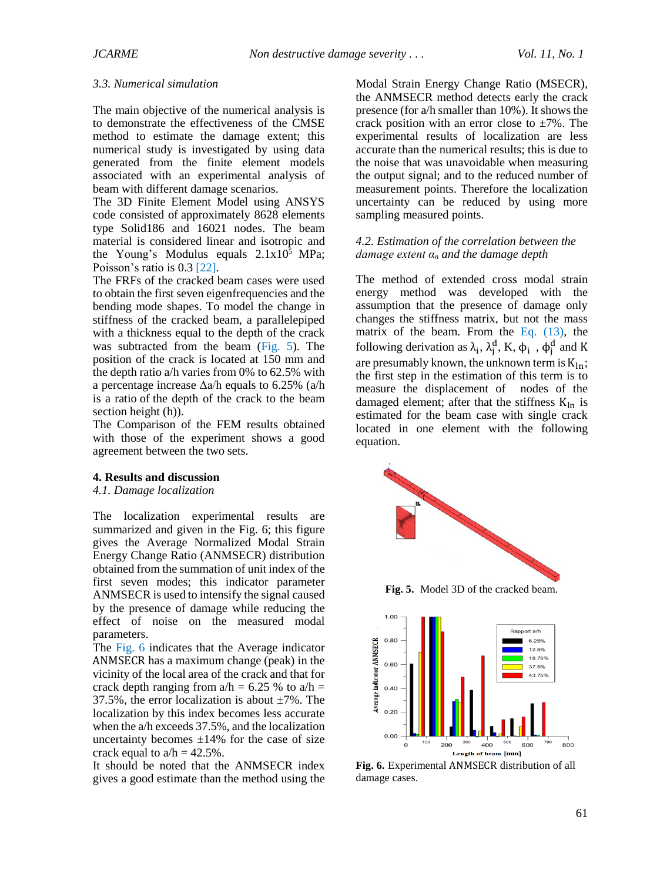#### *3.3. Numerical simulation*

The main objective of the numerical analysis is to demonstrate the effectiveness of the CMSE method to estimate the damage extent; this numerical study is investigated by using data generated from the finite element models associated with an experimental analysis of beam with different damage scenarios.

The 3D Finite Element Model using ANSYS code consisted of approximately 8628 elements type Solid186 and 16021 nodes. The beam material is considered linear and isotropic and the Young's Modulus equals  $2.1x10^5$  MPa; Poisson's ratio is 0.3 [22].

The FRFs of the cra[cked b](#page-8-5)eam cases were used to obtain the first seven eigenfrequencies and the bending mode shapes. To model the change in stiffness of the cracked beam, a parallelepiped with a thickness equal to the depth of the crack was subtracted from the beam (Fig. 5). The position of the crack is located at [150](#page-4-0) mm and the depth ratio a/h varies from 0% to 62.5% with a percentage increase  $\Delta a/h$  equals to 6.25% (a/h is a ratio of the depth of the crack to the beam section height (h)).

The Comparison of the FEM results obtained with those of the experiment shows a good agreement between the two sets.

## **4. Results and discussion**

## *4.1. Damage localization*

The localization experimental results are summarized and given in the Fig. 6; this figure gives the Average Normalized Modal Strain Energy Change Ratio (ANMSECR) distribution obtained from the summation of unit index of the first seven modes; this indicator parameter ANMSECR is used to intensify the signal caused by the presence of damage while reducing the effect of noise on the measured modal parameters.

The Fig. 6 indicates that the Average indicator AN[MSECR](#page-4-1) has a maximum change (peak) in the vicinity of the local area of the crack and that for crack depth ranging from  $a/h = 6.25 %$  to  $a/h =$ 37.5%, the error localization is about  $\pm 7$ %. The localization by this index becomes less accurate when the a/h exceeds 37.5%, and the localization uncertainty becomes  $\pm 14\%$  for the case of size crack equal to  $a/h = 42.5\%$ .

It should be noted that the ANMSECR index gives a good estimate than the method using the

Modal Strain Energy Change Ratio (MSECR), the ANMSECR method detects early the crack presence (for a/h smaller than 10%). It shows the crack position with an error close to  $\pm 7\%$ . The experimental results of localization are less accurate than the numerical results; this is due to the noise that was unavoidable when measuring the output signal; and to the reduced number of measurement points. Therefore the localization uncertainty can be reduced by using more sampling measured points.

## *4.2. Estimation of the correlation between the damage extent α<sup>n</sup> and the damage depth*

The method of extended cross modal strain energy method was developed with the assumption that the presence of damage only changes the stiffness matrix, but not the mass matrix of the beam. From the Eq. (13), the following derivation as  $\lambda_i$ ,  $\lambda_j^d$ , K,  $\phi_i$ ,  $\phi_j^d$  and K are presumably known, the unkno[wn term is](#page-2-5)  $K_{ln}$ ; the first step in the estimation of this term is to measure the displacement of nodes of the damaged element; after that the stiffness  $K_{ln}$  is estimated for the beam case with single crack located in one element with the following equation.



**Fig. 5.** Model 3D of the cracked beam.

<span id="page-4-0"></span>

<span id="page-4-1"></span>**Fig. 6.** Experimental ANMSECR distribution of all damage cases.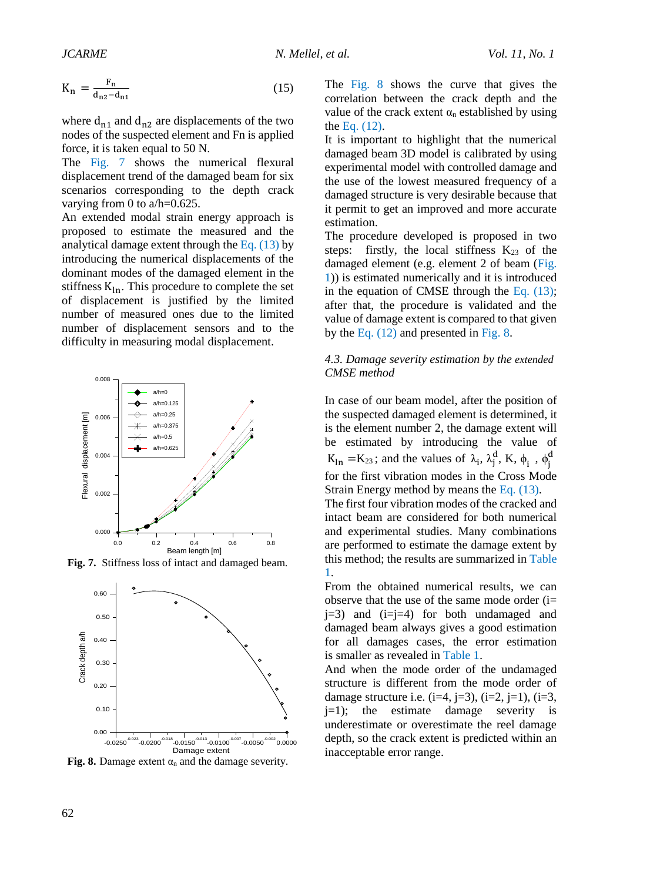$$
K_n = \frac{F_n}{d_{n2} - d_{n1}}
$$
 (15)

where  $d_{n1}$  and  $d_{n2}$  are displacements of the two nodes of the suspected element and Fn is applied force, it is taken equal to 50 N.

The [Fig.](#page-5-0) 7 shows the numerical flexural displacement trend of the damaged beam for six scenarios corresponding to the depth crack varying from 0 to a/h=0.625.

An extended modal strain energy approach is proposed to estimate the measured and the analytical damage extent through the Eq.  $(13)$  by introducing the numerical displacements of the dominant modes of the damaged element in the stiffness  $K_{ln}$ . This procedure to complete the set of displacement is justified by the limited number of measured ones due to the limited number of displacement sensors and to the difficulty in measuring modal displacement.



**Fig. 7.** Stiffness loss of intact and damaged beam.



<span id="page-5-1"></span>**Fig. 8.** Damage extent  $\alpha_n$  and the damage severity.

The [Fig. 8](#page-5-1) shows the curve that gives the correlation between the crack depth and the value of the crack extent  $\alpha_n$  established by using the [Eq. \(12\).](#page-2-6)

It is important to highlight that the numerical damaged beam 3D model is calibrated by using experimental model with controlled damage and the use of the lowest measured frequency of a damaged structure is very desirable because that it permit to get an improved and more accurate estimation.

The procedure developed is proposed in two steps: firstly, the local stiffness  $K_{23}$  of the damaged element (e.g. element 2 of beam [\(Fig.](#page-2-0)  [1\)](#page-2-0)) is estimated numerically and it is introduced in the equation of CMSE through the [Eq. \(13\);](#page-2-5) after that, the procedure is validated and the value of damage extent is compared to that given by the [Eq. \(12\)](#page-2-6) and presented in [Fig. 8.](#page-5-1)

## *4.3. Damage severity estimation by the extended CMSE method*

<span id="page-5-0"></span>In case of our beam model, after the position of the suspected damaged element is determined, it is the element number 2, the damage extent will be estimated by introducing the value of  $K_{1n} = K_{23}$ ; and the values of  $\lambda_i$ ,  $\lambda_j^d$ ,  $K$ ,  $\phi_i$ ,  $\phi_j^d$ for the first vibration modes in the Cross Mode Strain Energy method by means th[e Eq. \(13\).](#page-2-5)

The first four vibration modes of the cracked and intact beam are considered for both numerical and experimental studies. Many combinations are performed to estimate the damage extent by this method; the results are summarized in [Table](#page-6-0) [1.](#page-6-0)

From the obtained numerical results, we can observe that the use of the same mode order (i= j=3) and (i=j=4) for both undamaged and damaged beam always gives a good estimation for all damages cases, the error estimation is smaller as revealed in [Table 1.](#page-6-0)

And when the mode order of the undamaged structure is different from the mode order of damage structure i.e.  $(i=4, j=3)$ ,  $(i=2, j=1)$ ,  $(i=3, j=4)$  $j=1$ ; the estimate damage severity is underestimate or overestimate the reel damage depth, so the crack extent is predicted within an inacceptable error range.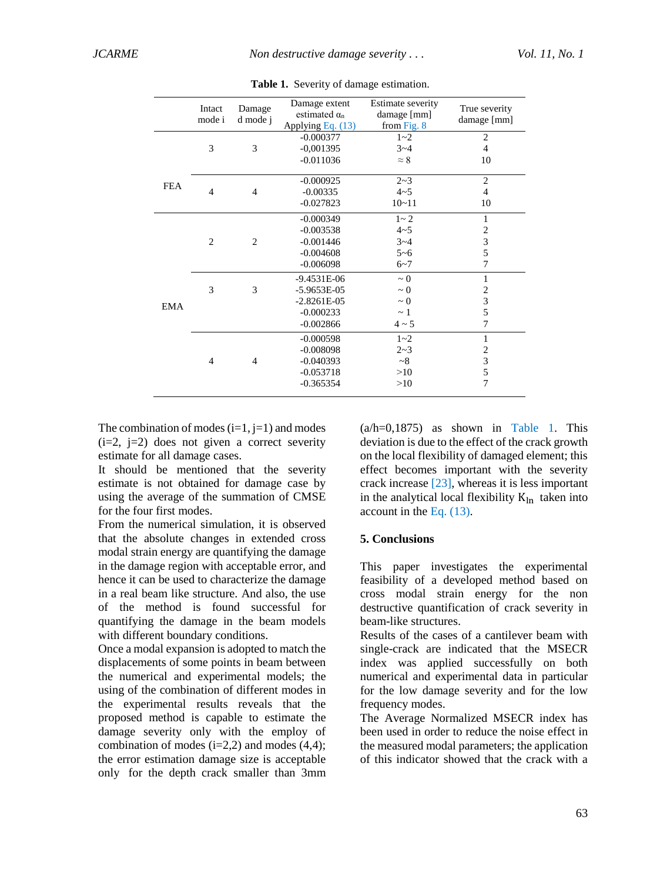<span id="page-6-0"></span>

|            | Intact<br>mode i | Damage<br>d mode j | Damage extent<br>estimated $\alpha_n$<br>Applying Eq. (13) | Estimate severity<br>damage [mm]<br>from Fig. 8 | True severity<br>damage [mm] |
|------------|------------------|--------------------|------------------------------------------------------------|-------------------------------------------------|------------------------------|
| <b>FEA</b> |                  |                    | $-0.000377$                                                | $1 - 2$                                         | $\overline{2}$               |
|            | 3                | 3                  | $-0,001395$                                                | $3 - 4$                                         | $\overline{4}$               |
|            |                  |                    | $-0.011036$                                                | $\approx 8$                                     | 10                           |
|            |                  |                    | $-0.000925$                                                | $2 - 3$                                         | $\overline{2}$               |
|            | $\overline{4}$   | $\overline{4}$     | $-0.00335$                                                 | $4 - 5$                                         | $\overline{4}$               |
|            |                  |                    | $-0.027823$                                                | $10 - 11$                                       | 10                           |
| EMA        |                  |                    | $-0.000349$                                                | $1 - 2$                                         | $\mathbf{1}$                 |
|            |                  |                    | $-0.003538$                                                | $4 - 5$                                         | $\overline{c}$               |
|            | $\overline{2}$   | $\overline{2}$     | $-0.001446$                                                | $3 - 4$                                         | 3                            |
|            |                  |                    | $-0.004608$                                                | $5 - 6$                                         | 5                            |
|            |                  |                    | $-0.006098$                                                | $6 - 7$                                         | 7                            |
|            |                  |                    | $-9.4531E-06$                                              | $\sim 0$                                        | $\mathbf{1}$                 |
|            | 3                | 3                  | $-5.9653E-05$                                              | $\sim 0$                                        | $\overline{c}$               |
|            |                  |                    | $-2.8261E-05$                                              | $\sim 0$                                        | 3                            |
|            |                  |                    | $-0.000233$                                                | $\sim$ 1                                        | 5                            |
|            |                  |                    | $-0.002866$                                                | $4 \sim 5$                                      | 7                            |
|            |                  |                    | $-0.000598$                                                | $1 - 2$                                         | 1                            |
|            |                  |                    | $-0.008098$                                                | $2 - 3$                                         | $\overline{\mathbf{c}}$      |
|            | $\overline{4}$   | $\overline{4}$     | $-0.040393$                                                | ~28                                             | $\overline{\mathbf{3}}$      |
|            |                  |                    | $-0.053718$                                                | >10                                             | 5                            |
|            |                  |                    | $-0.365354$                                                | >10                                             | $\overline{7}$               |

**Table 1.** Severity of damage estimation.

The combination of modes  $(i=1, i=1)$  and modes  $(i=2, i=2)$  does not given a correct severity estimate for all damage cases.

It should be mentioned that the severity estimate is not obtained for damage case by using the average of the summation of CMSE for the four first modes.

From the numerical simulation, it is observed that the absolute changes in extended cross modal strain energy are quantifying the damage in the damage region with acceptable error, and hence it can be used to characterize the damage in a real beam like structure. And also, the use of the method is found successful for quantifying the damage in the beam models with different boundary conditions.

Once a modal expansion is adopted to match the displacements of some points in beam between the numerical and experimental models; the using of the combination of different modes in the experimental results reveals that the proposed method is capable to estimate the damage severity only with the employ of combination of modes  $(i=2,2)$  and modes  $(4,4)$ ; the error estimation damage size is acceptable only for the depth crack smaller than 3mm  $(a/h=0.1875)$  as shown in Table 1. This deviation is due to the effect of [the crack g](#page-6-0)rowth on the local flexibility of damaged element; this effect becomes important with the severity crack increase [23], whereas it is less important in the analytic[al loc](#page-8-6)al flexibility  $K_{ln}$  taken into account in the Eq. (13).

## **5. Conclusions**

This paper investigates the experimental feasibility of a developed method based on cross modal strain energy for the non destructive quantification of crack severity in beam-like structures.

Results of the cases of a cantilever beam with single-crack are indicated that the MSECR index was applied successfully on both numerical and experimental data in particular for the low damage severity and for the low frequency modes.

The Average Normalized MSECR index has been used in order to reduce the noise effect in the measured modal parameters; the application of this indicator showed that the crack with a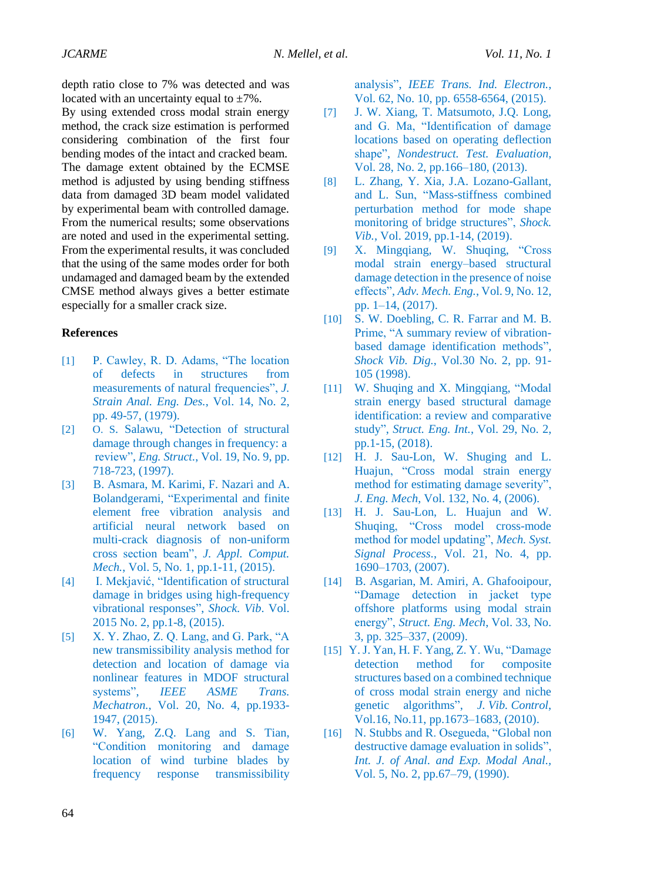depth ratio close to 7% was detected and was located with an uncertainty equal to  $\pm 7\%$ .

By using extended cross modal strain energy method, the crack size estimation is performed considering combination of the first four bending modes of the intact and cracked beam. The damage extent obtained by the ECMSE method is adjusted by using bending stiffness data from damaged 3D beam model validated by experimental beam with controlled damage. From the numerical results; some observations are noted and used in the experimental setting. From the experimental results, it was concluded that the using of the same modes order for both undamaged and damaged beam by the extended CMSE method always gives a better estimate especially for a smaller crack size.

### **References**

- <span id="page-7-0"></span>[1] P. Cawley, R. D. Adams, "The location of defects in structures from measurements of natural frequencies", *J. Strain Anal. Eng. Des.*, Vol. 14, No. 2, pp. 49-57, (1979).
- [2] O. S. Salawu, "Detection of structural damage through changes in frequency: a review", *Eng. Struct.*, Vol. 19, No. 9, pp. 718-723, (1997).
- <span id="page-7-1"></span>[3] B. Asmara, M. Karimi, F. Nazari and A. Bolandgerami, "Experimental and finite element free vibration analysis and artificial neural network based on multi-crack diagnosis of non-uniform cross section beam", *J. Appl. Comput. Mech.*, Vol. 5, No. 1, pp.1-11, (2015).
- <span id="page-7-2"></span>[4] [I. Mekjavić,](https://www.hindawi.com/70237804/) "Identification of structural damage in bridges using high-frequency vibrational responses", *Shock. Vib*. Vol. 2015 No. 2, pp.1-8, (2015).
- <span id="page-7-3"></span>[5] X. Y. Zhao, Z. Q. Lang, and G. Park, "A new transmissibility analysis method for detection and location of damage via nonlinear features in MDOF structural systems", *IEEE ASME Trans. Mechatron.*, Vol. 20, No. 4, pp.1933- 1947, (2015).
- [6] W. Yang, Z.Q. Lang and S. Tian, "Condition monitoring and damage location of wind turbine blades by frequency response transmissibility

<span id="page-7-4"></span>analysis", *IEEE Trans. Ind. Electron.*, Vol. 62, No. 10, pp. 6558-6564, (2015).

- [7] J. W. Xiang, T. Matsumoto, J.Q. Long, and G. Ma, "Identification of damage locations based on operating deflection shape", *Nondestruct. Test. Evaluation*, Vol. 28, No. 2, pp.166–180, (2013).
- <span id="page-7-5"></span>[8] L. Zhang, Y. Xia, J.A. Lozano-Gallant, and L. Sun, "Mass-stiffness combined perturbation method for mode shape monitoring of bridge structures", *Shock. Vib.*, Vol. 2019, pp.1-14, (2019).
- <span id="page-7-6"></span>[9] X. Mingqiang, W. Shuqing, "Cross modal strain energy–based structural damage detection in the presence of noise effects", *Adv. Mech. Eng.*, Vol. 9, No. 12, pp. 1–14, (2017).
- <span id="page-7-7"></span>[10] S. W. Doebling, C. R. Farrar and M. B. Prime, "A summary review of vibrationbased damage identification methods", *Shock Vib. Dig.*, Vol.30 No. 2, pp. 91- 105 (1998).
- <span id="page-7-8"></span>[11] W. Shuqing and X. Mingqiang, "Modal strain energy based structural damage identification: a review and comparative study", *Struct. Eng. Int.*, Vol. 29, No. 2, pp.1-15, (2018).
- <span id="page-7-9"></span>[12] H. J. Sau-Lon, W. Shuging and L. Huajun, "Cross modal strain energy method for estimating damage severity", *J. Eng. Mech*, Vol. 132, No. 4, (2006).
- <span id="page-7-10"></span>[13] H. J. Sau-Lon, L. Huajun and W. Shuqing, "Cross model cross-mode method for model updating", *Mech. Syst. Signal Process.*, Vol. 21, No. 4, pp. 1690–1703, (2007).
- <span id="page-7-11"></span>[14] B. Asgarian, M. Amiri, A. Ghafooipour, "Damage detection in jacket type offshore platforms using modal strain energy", *Struct. Eng. Mech*, Vol. 33, No. 3, pp. 325–337, (2009).
- <span id="page-7-12"></span>[15] Y. J. Yan, H. F. Yang, Z. Y. Wu, "Damage detection method for composite structures based on a combined technique of cross modal strain energy and niche genetic algorithms", *J. Vib. Control*, Vol.16, No.11, pp.1673–1683, (2010).
- <span id="page-7-13"></span>[16] N. Stubbs and R. Osegueda, "Global non destructive damage evaluation in solids", *Int. J. of Anal. and Exp. Modal Anal.,* Vol. 5, No. 2, pp.67–79, (1990).